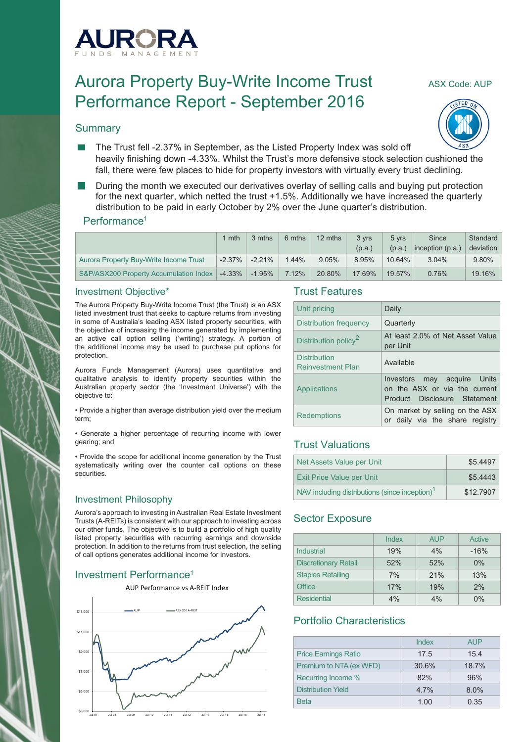

# Aurora Property Buy-Write Income Trust ASX Code: AUP Performance Report - September 2016

#### **Summary**



- The Trust fell -2.37% in September, as the Listed Property Index was sold off heavily finishing down -4.33%. Whilst the Trust's more defensive stock selection cushioned the fall, there were few places to hide for property investors with virtually every trust declining.
- During the month we executed our derivatives overlay of selling calls and buying put protection for the next quarter, which netted the trust +1.5%. Additionally we have increased the quarterly distribution to be paid in early October by 2% over the June quarter's distribution.

#### Performance<sup>1</sup>

|                                        | 1 mth     | 3 mths    | 6 mths | 12 mths | 3 vrs  | 5 yrs  | Since              | Standard  |
|----------------------------------------|-----------|-----------|--------|---------|--------|--------|--------------------|-----------|
|                                        |           |           |        |         | (p.a.) | (p.a.) | inception $(p.a.)$ | deviation |
| Aurora Property Buy-Write Income Trust | $-2.37\%$ | $-2.21%$  | 1.44%  | 9.05%   | 8.95%  | 10.64% | 3.04%              | 9.80%     |
| S&P/ASX200 Property Accumulation Index | $-4.33\%$ | $-1.95\%$ | 7.12%  | 20.80%  | 17.69% | 19.57% | 0.76%              | 19.16%    |

#### Investment Objective\*

The Aurora Property Buy-Write Income Trust (the Trust) is an ASX listed investment trust that seeks to capture returns from investing in some of Australia's leading ASX listed property securities, with the objective of increasing the income generated by implementing an active call option selling ('writing') strategy. A portion of the additional income may be used to purchase put options for protection.

Aurora Funds Management (Aurora) uses quantitative and qualitative analysis to identify property securities within the Australian property sector (the 'Investment Universe') with the objective to:

• Provide a higher than average distribution yield over the medium term;

• Generate a higher percentage of recurring income with lower gearing; and

• Provide the scope for additional income generation by the Trust systematically writing over the counter call options on these securities.

#### Investment Philosophy

Aurora's approach to investing in Australian Real Estate Investment Trusts (A-REITs) is consistent with our approach to investing across our other funds. The objective is to build a portfolio of high quality listed property securities with recurring earnings and downside protection. In addition to the returns from trust selection, the selling of call options generates additional income for investors.

# Investment Performance<sup>1</sup>



#### Trust Features

| Unit pricing                                    | Daily                                                                                        |
|-------------------------------------------------|----------------------------------------------------------------------------------------------|
| Distribution frequency                          | Quarterly                                                                                    |
| Distribution policy <sup>2</sup>                | At least 2.0% of Net Asset Value<br>per Unit                                                 |
| <b>Distribution</b><br><b>Reinvestment Plan</b> | Available                                                                                    |
| Applications                                    | Investors may acquire Units<br>on the ASX or via the current<br>Product Disclosure Statement |
| <b>Redemptions</b>                              | On market by selling on the ASX<br>or daily via the share registry                           |

## Trust Valuations

| Net Assets Value per Unit                                  | \$5.4497  |
|------------------------------------------------------------|-----------|
| <b>Exit Price Value per Unit</b>                           | \$5,4443  |
| NAV including distributions (since inception) <sup>1</sup> | \$12,7907 |

# Sector Exposure

|                             | Index | <b>AUP</b> | Active |
|-----------------------------|-------|------------|--------|
| Industrial                  | 19%   | 4%         | $-16%$ |
| <b>Discretionary Retail</b> | 52%   | 52%        | 0%     |
| <b>Staples Retailing</b>    | 7%    | 21%        | 13%    |
| <b>Office</b>               | 17%   | 19%        | 2%     |
| <b>Residential</b>          | 4%    | 4%         | $0\%$  |

## Portfolio Characteristics

|                             | Index | <b>AUP</b> |
|-----------------------------|-------|------------|
| <b>Price Earnings Ratio</b> | 17.5  | 15.4       |
| Premium to NTA (ex WFD)     | 30.6% | 18.7%      |
| Recurring Income %          | 82%   | 96%        |
| <b>Distribution Yield</b>   | 4.7%  | 8.0%       |
| <b>Beta</b>                 | 1.00  | 0.35       |